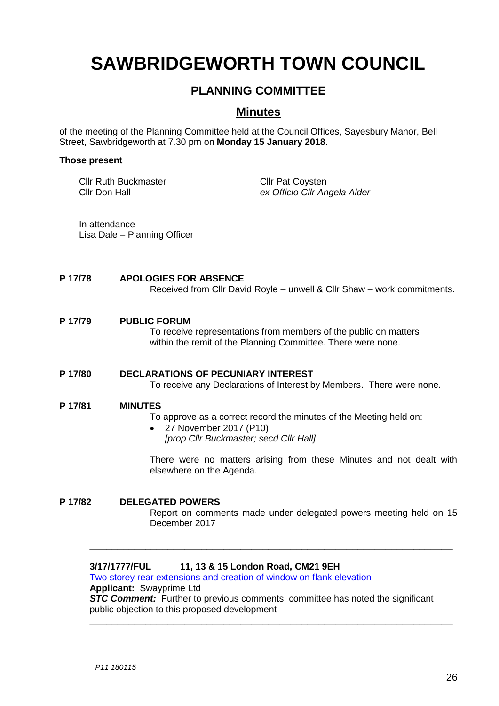# **SAWBRIDGEWORTH TOWN COUNCIL**

## **PLANNING COMMITTEE**

### **Minutes**

of the meeting of the Planning Committee held at the Council Offices, Sayesbury Manor, Bell Street, Sawbridgeworth at 7.30 pm on **Monday 15 January 2018.**

#### **Those present**

Cllr Ruth Buckmaster Cllr Pat Coysten

Cllr Don Hall *ex Officio Cllr Angela Alder*

In attendance Lisa Dale – Planning Officer

#### **P 17/78 APOLOGIES FOR ABSENCE**

Received from Cllr David Royle – unwell & Cllr Shaw – work commitments.

#### **P 17/79 PUBLIC FORUM**

To receive representations from members of the public on matters within the remit of the Planning Committee. There were none.

### **P 17/80 DECLARATIONS OF PECUNIARY INTEREST**

To receive any Declarations of Interest by Members. There were none.

#### **P 17/81 MINUTES**

To approve as a correct record the minutes of the Meeting held on:

 27 November 2017 (P10) *[prop Cllr Buckmaster; secd Cllr Hall]*

There were no matters arising from these Minutes and not dealt with elsewhere on the Agenda.

**P 17/82 DELEGATED POWERS** Report on comments made under delegated powers meeting held on 15 December 2017

**\_\_\_\_\_\_\_\_\_\_\_\_\_\_\_\_\_\_\_\_\_\_\_\_\_\_\_\_\_\_\_\_\_\_\_\_\_\_\_\_\_\_\_\_\_\_\_\_\_\_\_\_\_\_\_\_\_\_\_\_\_\_\_\_\_**

**\_\_\_\_\_\_\_\_\_\_\_\_\_\_\_\_\_\_\_\_\_\_\_\_\_\_\_\_\_\_\_\_\_\_\_\_\_\_\_\_\_\_\_\_\_\_\_\_\_\_\_\_\_\_\_\_\_\_\_\_\_\_\_\_\_**

### **3/17/1777/FUL 11, 13 & 15 London Road, CM21 9EH**

[Two storey rear extensions and creation of window on flank elevation](https://publicaccess.eastherts.gov.uk/online-applications/applicationDetails.do?keyVal=OTQM7BGLHV200&activeTab=summary) **Applicant:** Swayprime Ltd **STC Comment:** Further to previous comments, committee has noted the significant public objection to this proposed development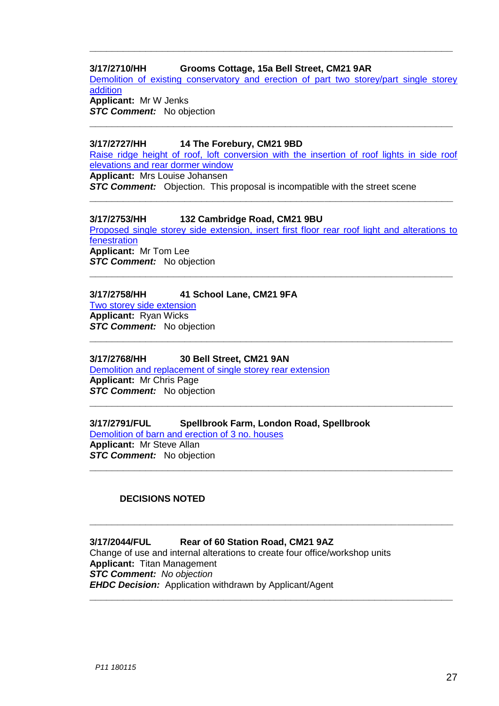### **3/17/2710/HH Grooms Cottage, 15a Bell Street, CM21 9AR**

[Demolition of existing conservatory and erection of part two storey/part single storey](https://publicaccess.eastherts.gov.uk/online-applications/applicationDetails.do?keyVal=OZT7LKGLJFY00&activeTab=summary)  [addition](https://publicaccess.eastherts.gov.uk/online-applications/applicationDetails.do?keyVal=OZT7LKGLJFY00&activeTab=summary) **Applicant:** Mr W Jenks

**\_\_\_\_\_\_\_\_\_\_\_\_\_\_\_\_\_\_\_\_\_\_\_\_\_\_\_\_\_\_\_\_\_\_\_\_\_\_\_\_\_\_\_\_\_\_\_\_\_\_\_\_\_\_\_\_\_\_\_\_\_\_\_\_\_**

**\_\_\_\_\_\_\_\_\_\_\_\_\_\_\_\_\_\_\_\_\_\_\_\_\_\_\_\_\_\_\_\_\_\_\_\_\_\_\_\_\_\_\_\_\_\_\_\_\_\_\_\_\_\_\_\_\_\_\_\_\_\_\_\_\_**

**STC Comment:** No objection

### **3/17/2727/HH 14 The Forebury, CM21 9BD**

[Raise ridge height of roof, loft conversion with the insertion of roof lights in side roof](https://publicaccess.eastherts.gov.uk/online-applications/applicationDetails.do?keyVal=OZX82SGLJHB00&activeTab=summary)  [elevations and rear dormer window](https://publicaccess.eastherts.gov.uk/online-applications/applicationDetails.do?keyVal=OZX82SGLJHB00&activeTab=summary)

**\_\_\_\_\_\_\_\_\_\_\_\_\_\_\_\_\_\_\_\_\_\_\_\_\_\_\_\_\_\_\_\_\_\_\_\_\_\_\_\_\_\_\_\_\_\_\_\_\_\_\_\_\_\_\_\_\_\_\_\_\_\_\_\_\_**

**Applicant:** Mrs Louise Johansen

**STC Comment:** Objection. This proposal is incompatible with the street scene

### **3/17/2753/HH 132 Cambridge Road, CM21 9BU**

[Proposed single storey side extension, insert first floor rear roof light and alterations to](https://publicaccess.eastherts.gov.uk/online-applications/applicationDetails.do?keyVal=P04MPJGLJJ500&activeTab=summary)  [fenestration](https://publicaccess.eastherts.gov.uk/online-applications/applicationDetails.do?keyVal=P04MPJGLJJ500&activeTab=summary) **Applicant:** Mr Tom Lee **STC Comment:** No objection

**\_\_\_\_\_\_\_\_\_\_\_\_\_\_\_\_\_\_\_\_\_\_\_\_\_\_\_\_\_\_\_\_\_\_\_\_\_\_\_\_\_\_\_\_\_\_\_\_\_\_\_\_\_\_\_\_\_\_\_\_\_\_\_\_\_**

**\_\_\_\_\_\_\_\_\_\_\_\_\_\_\_\_\_\_\_\_\_\_\_\_\_\_\_\_\_\_\_\_\_\_\_\_\_\_\_\_\_\_\_\_\_\_\_\_\_\_\_\_\_\_\_\_\_\_\_\_\_\_\_\_\_**

**\_\_\_\_\_\_\_\_\_\_\_\_\_\_\_\_\_\_\_\_\_\_\_\_\_\_\_\_\_\_\_\_\_\_\_\_\_\_\_\_\_\_\_\_\_\_\_\_\_\_\_\_\_\_\_\_\_\_\_\_\_\_\_\_\_**

**\_\_\_\_\_\_\_\_\_\_\_\_\_\_\_\_\_\_\_\_\_\_\_\_\_\_\_\_\_\_\_\_\_\_\_\_\_\_\_\_\_\_\_\_\_\_\_\_\_\_\_\_\_\_\_\_\_\_\_\_\_\_\_\_\_**

**\_\_\_\_\_\_\_\_\_\_\_\_\_\_\_\_\_\_\_\_\_\_\_\_\_\_\_\_\_\_\_\_\_\_\_\_\_\_\_\_\_\_\_\_\_\_\_\_\_\_\_\_\_\_\_\_\_\_\_\_\_\_\_\_\_**

**\_\_\_\_\_\_\_\_\_\_\_\_\_\_\_\_\_\_\_\_\_\_\_\_\_\_\_\_\_\_\_\_\_\_\_\_\_\_\_\_\_\_\_\_\_\_\_\_\_\_\_\_\_\_\_\_\_\_\_\_\_\_\_\_\_**

### **3/17/2758/HH 41 School Lane, CM21 9FA**

[Two storey side extension](https://publicaccess.eastherts.gov.uk/online-applications/applicationDetails.do?keyVal=P04XUXGLJJG00&activeTab=summary) **Applicant:** Ryan Wicks *STC Comment:* No objection

### **3/17/2768/HH 30 Bell Street, CM21 9AN**

[Demolition and replacement of single storey rear extension](https://publicaccess.eastherts.gov.uk/online-applications/applicationDetails.do?keyVal=P080YTGLJJY00&activeTab=summary) **Applicant:** Mr Chris Page **STC Comment:** No objection

### **3/17/2791/FUL Spellbrook Farm, London Road, Spellbrook** [Demolition of barn and erection of 3 no. houses](https://publicaccess.eastherts.gov.uk/online-applications/applicationDetails.do?keyVal=P0FK4RGL00V00&activeTab=summary)

**Applicant:** Mr Steve Allan **STC Comment:** No objection

### **DECISIONS NOTED**

### **3/17/2044/FUL Rear of 60 Station Road, CM21 9AZ**

Change of use and internal alterations to create four office/workshop units **Applicant:** Titan Management *STC Comment: No objection EHDC Decision:* Application withdrawn by Applicant/Agent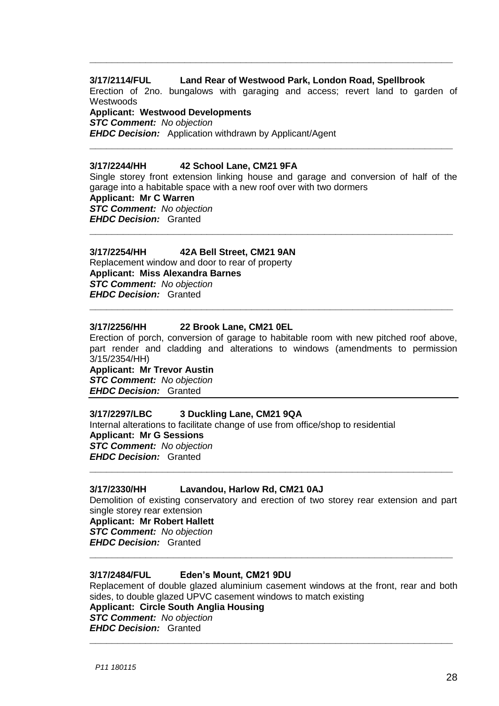### **3/17/2114/FUL Land Rear of Westwood Park, London Road, Spellbrook**

Erection of 2no. bungalows with garaging and access; revert land to garden of **Westwoods** 

**\_\_\_\_\_\_\_\_\_\_\_\_\_\_\_\_\_\_\_\_\_\_\_\_\_\_\_\_\_\_\_\_\_\_\_\_\_\_\_\_\_\_\_\_\_\_\_\_\_\_\_\_\_\_\_\_\_\_\_\_\_\_\_\_\_**

**Applicant: Westwood Developments** *STC Comment: No objection EHDC Decision:* Application withdrawn by Applicant/Agent

#### **3/17/2244/HH 42 School Lane, CM21 9FA**

Single storey front extension linking house and garage and conversion of half of the garage into a habitable space with a new roof over with two dormers **Applicant: Mr C Warren**

**\_\_\_\_\_\_\_\_\_\_\_\_\_\_\_\_\_\_\_\_\_\_\_\_\_\_\_\_\_\_\_\_\_\_\_\_\_\_\_\_\_\_\_\_\_\_\_\_\_\_\_\_\_\_\_\_\_\_\_\_\_\_\_\_\_**

**\_\_\_\_\_\_\_\_\_\_\_\_\_\_\_\_\_\_\_\_\_\_\_\_\_\_\_\_\_\_\_\_\_\_\_\_\_\_\_\_\_\_\_\_\_\_\_\_\_\_\_\_\_\_\_\_\_\_\_\_\_\_\_\_\_**

*STC Comment: No objection EHDC Decision:* Granted

### **3/17/2254/HH 42A Bell Street, CM21 9AN**

Replacement window and door to rear of property **Applicant: Miss Alexandra Barnes** *STC Comment: No objection EHDC Decision:* Granted

#### **3/17/2256/HH 22 Brook Lane, CM21 0EL**

Erection of porch, conversion of garage to habitable room with new pitched roof above, part render and cladding and alterations to windows (amendments to permission 3/15/2354/HH)

**\_\_\_\_\_\_\_\_\_\_\_\_\_\_\_\_\_\_\_\_\_\_\_\_\_\_\_\_\_\_\_\_\_\_\_\_\_\_\_\_\_\_\_\_\_\_\_\_\_\_\_\_\_\_\_\_\_\_\_\_\_\_\_\_\_**

**Applicant: Mr Trevor Austin** *STC Comment: No objection EHDC Decision:* Granted

#### **3/17/2297/LBC 3 Duckling Lane, CM21 9QA**

Internal alterations to facilitate change of use from office/shop to residential **Applicant: Mr G Sessions** *STC Comment: No objection EHDC Decision:* Granted

#### **3/17/2330/HH Lavandou, Harlow Rd, CM21 0AJ**

Demolition of existing conservatory and erection of two storey rear extension and part single storey rear extension **Applicant: Mr Robert Hallett** *STC Comment: No objection EHDC Decision:* Granted **\_\_\_\_\_\_\_\_\_\_\_\_\_\_\_\_\_\_\_\_\_\_\_\_\_\_\_\_\_\_\_\_\_\_\_\_\_\_\_\_\_\_\_\_\_\_\_\_\_\_\_\_\_\_\_\_\_\_\_\_\_\_\_\_\_**

**\_\_\_\_\_\_\_\_\_\_\_\_\_\_\_\_\_\_\_\_\_\_\_\_\_\_\_\_\_\_\_\_\_\_\_\_\_\_\_\_\_\_\_\_\_\_\_\_\_\_\_\_\_\_\_\_\_\_\_\_\_\_\_\_\_**

#### **3/17/2484/FUL Eden's Mount, CM21 9DU**

Replacement of double glazed aluminium casement windows at the front, rear and both sides, to double glazed UPVC casement windows to match existing **Applicant: Circle South Anglia Housing** *STC Comment: No objection EHDC Decision:* Granted

**\_\_\_\_\_\_\_\_\_\_\_\_\_\_\_\_\_\_\_\_\_\_\_\_\_\_\_\_\_\_\_\_\_\_\_\_\_\_\_\_\_\_\_\_\_\_\_\_\_\_\_\_\_\_\_\_\_\_\_\_\_\_\_\_\_**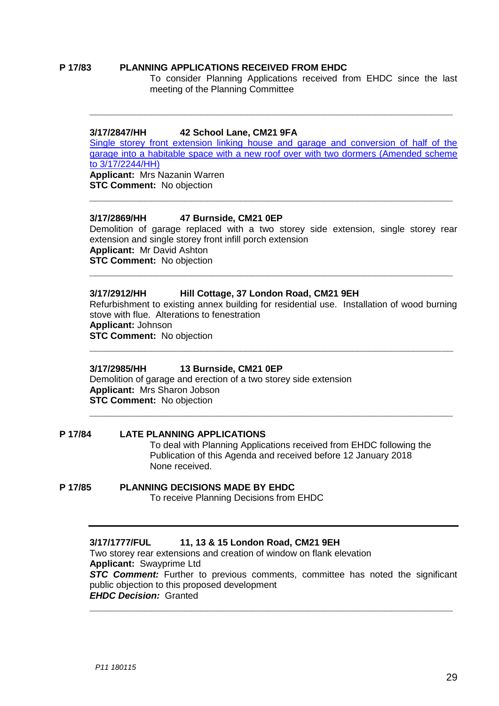#### **P 17/83 PLANNING APPLICATIONS RECEIVED FROM EHDC**

To consider Planning Applications received from EHDC since the last meeting of the Planning Committee

#### **3/17/2847/HH 42 School Lane, CM21 9FA**

[Single storey front extension linking house and garage and conversion of half of the](https://publicaccess.eastherts.gov.uk/online-applications/applicationDetails.do?keyVal=P0OOXEGLJOV00&activeTab=summary)  [garage into a habitable space with a new roof over with two dormers \(Amended scheme](https://publicaccess.eastherts.gov.uk/online-applications/applicationDetails.do?keyVal=P0OOXEGLJOV00&activeTab=summary)  [to 3/17/2244/HH\)](https://publicaccess.eastherts.gov.uk/online-applications/applicationDetails.do?keyVal=P0OOXEGLJOV00&activeTab=summary) **Applicant:** Mrs Nazanin Warren **STC Comment:** No objection

**\_\_\_\_\_\_\_\_\_\_\_\_\_\_\_\_\_\_\_\_\_\_\_\_\_\_\_\_\_\_\_\_\_\_\_\_\_\_\_\_\_\_\_\_\_\_\_\_\_\_\_\_\_\_\_\_\_\_\_\_\_\_\_\_\_**

**\_\_\_\_\_\_\_\_\_\_\_\_\_\_\_\_\_\_\_\_\_\_\_\_\_\_\_\_\_\_\_\_\_\_\_\_\_\_\_\_\_\_\_\_\_\_\_\_\_\_\_\_\_\_\_\_\_\_\_\_\_\_\_\_\_**

#### **3/17/2869/HH 47 Burnside, CM21 0EP**

Demolition of garage replaced with a two storey side extension, single storey rear extension and single storey front infill porch extension **Applicant:** Mr David Ashton **STC Comment:** No objection **\_\_\_\_\_\_\_\_\_\_\_\_\_\_\_\_\_\_\_\_\_\_\_\_\_\_\_\_\_\_\_\_\_\_\_\_\_\_\_\_\_\_\_\_\_\_\_\_\_\_\_\_\_\_\_\_\_\_\_\_\_\_\_\_\_**

#### **3/17/2912/HH Hill Cottage, 37 London Road, CM21 9EH**

Refurbishment to existing annex building for residential use. Installation of wood burning stove with flue. Alterations to fenestration **Applicant:** Johnson **STC Comment:** No objection

**\_\_\_\_\_\_\_\_\_\_\_\_\_\_\_\_\_\_\_\_\_\_\_\_\_\_\_\_\_\_\_\_\_\_\_\_\_\_\_\_\_\_\_\_\_\_\_\_\_\_\_\_\_\_\_\_\_\_\_\_\_\_\_\_\_**

#### **3/17/2985/HH 13 Burnside, CM21 0EP**

Demolition of garage and erection of a two storey side extension **Applicant:** Mrs Sharon Jobson **STC Comment:** No objection **\_\_\_\_\_\_\_\_\_\_\_\_\_\_\_\_\_\_\_\_\_\_\_\_\_\_\_\_\_\_\_\_\_\_\_\_\_\_\_\_\_\_\_\_\_\_\_\_\_\_\_\_\_\_\_\_\_\_\_\_\_\_\_\_\_**

#### **P 17/84 LATE PLANNING APPLICATIONS**

To deal with Planning Applications received from EHDC following the Publication of this Agenda and received before 12 January 2018 None received.

**P 17/85 PLANNING DECISIONS MADE BY EHDC** To receive Planning Decisions from EHDC

#### **3/17/1777/FUL 11, 13 & 15 London Road, CM21 9EH**

Two storey rear extensions and creation of window on flank elevation **Applicant:** Swayprime Ltd **STC Comment:** Further to previous comments, committee has noted the significant public objection to this proposed development *EHDC Decision:* Granted

**\_\_\_\_\_\_\_\_\_\_\_\_\_\_\_\_\_\_\_\_\_\_\_\_\_\_\_\_\_\_\_\_\_\_\_\_\_\_\_\_\_\_\_\_\_\_\_\_\_\_\_\_\_\_\_\_\_\_\_\_\_\_\_\_\_**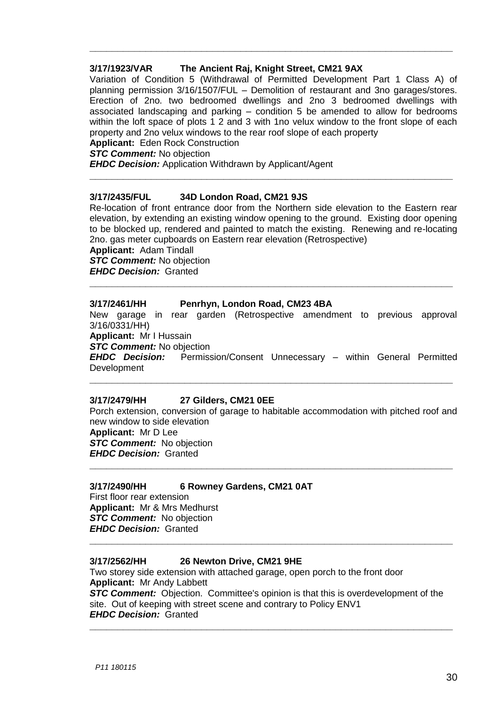### **3/17/1923/VAR The Ancient Raj, Knight Street, CM21 9AX**

Variation of Condition 5 (Withdrawal of Permitted Development Part 1 Class A) of planning permission 3/16/1507/FUL – Demolition of restaurant and 3no garages/stores. Erection of 2no. two bedroomed dwellings and 2no 3 bedroomed dwellings with associated landscaping and parking – condition 5 be amended to allow for bedrooms within the loft space of plots 1 2 and 3 with 1no velux window to the front slope of each property and 2no velux windows to the rear roof slope of each property

**\_\_\_\_\_\_\_\_\_\_\_\_\_\_\_\_\_\_\_\_\_\_\_\_\_\_\_\_\_\_\_\_\_\_\_\_\_\_\_\_\_\_\_\_\_\_\_\_\_\_\_\_\_\_\_\_\_\_\_\_\_\_\_\_\_**

**Applicant:** Eden Rock Construction

*STC Comment:* No objection

*EHDC Decision:* Application Withdrawn by Applicant/Agent

#### **3/17/2435/FUL 34D London Road, CM21 9JS**

Re-location of front entrance door from the Northern side elevation to the Eastern rear elevation, by extending an existing window opening to the ground. Existing door opening to be blocked up, rendered and painted to match the existing. Renewing and re-locating 2no. gas meter cupboards on Eastern rear elevation (Retrospective)

**\_\_\_\_\_\_\_\_\_\_\_\_\_\_\_\_\_\_\_\_\_\_\_\_\_\_\_\_\_\_\_\_\_\_\_\_\_\_\_\_\_\_\_\_\_\_\_\_\_\_\_\_\_\_\_\_\_\_\_\_\_\_\_\_\_**

**Applicant:** Adam Tindall *STC Comment:* No objection *EHDC Decision:* Granted

### **3/17/2461/HH Penrhyn, London Road, CM23 4BA**

New garage in rear garden (Retrospective amendment to previous approval 3/16/0331/HH)

**\_\_\_\_\_\_\_\_\_\_\_\_\_\_\_\_\_\_\_\_\_\_\_\_\_\_\_\_\_\_\_\_\_\_\_\_\_\_\_\_\_\_\_\_\_\_\_\_\_\_\_\_\_\_\_\_\_\_\_\_\_\_\_\_\_**

**Applicant:** Mr I Hussain

**STC Comment:** No objection<br>**EHDC Decision:** Permiss

Permission/Consent Unnecessary – within General Permitted Development

**\_\_\_\_\_\_\_\_\_\_\_\_\_\_\_\_\_\_\_\_\_\_\_\_\_\_\_\_\_\_\_\_\_\_\_\_\_\_\_\_\_\_\_\_\_\_\_\_\_\_\_\_\_\_\_\_\_\_\_\_\_\_\_\_\_**

#### **3/17/2479/HH 27 Gilders, CM21 0EE**

Porch extension, conversion of garage to habitable accommodation with pitched roof and new window to side elevation **Applicant:** Mr D Lee *STC Comment:* No objection *EHDC Decision:* Granted **\_\_\_\_\_\_\_\_\_\_\_\_\_\_\_\_\_\_\_\_\_\_\_\_\_\_\_\_\_\_\_\_\_\_\_\_\_\_\_\_\_\_\_\_\_\_\_\_\_\_\_\_\_\_\_\_\_\_\_\_\_\_\_\_\_**

### **3/17/2490/HH 6 Rowney Gardens, CM21 0AT**

First floor rear extension **Applicant:** Mr & Mrs Medhurst *STC Comment:* No objection *EHDC Decision:* Granted

#### **3/17/2562/HH 26 Newton Drive, CM21 9HE**

Two storey side extension with attached garage, open porch to the front door **Applicant:** Mr Andy Labbett **STC Comment:** Objection. Committee's opinion is that this is overdevelopment of the site. Out of keeping with street scene and contrary to Policy ENV1 *EHDC Decision:* Granted

**\_\_\_\_\_\_\_\_\_\_\_\_\_\_\_\_\_\_\_\_\_\_\_\_\_\_\_\_\_\_\_\_\_\_\_\_\_\_\_\_\_\_\_\_\_\_\_\_\_\_\_\_\_\_\_\_\_\_\_\_\_\_\_\_\_**

**\_\_\_\_\_\_\_\_\_\_\_\_\_\_\_\_\_\_\_\_\_\_\_\_\_\_\_\_\_\_\_\_\_\_\_\_\_\_\_\_\_\_\_\_\_\_\_\_\_\_\_\_\_\_\_\_\_\_\_\_\_\_\_\_\_**